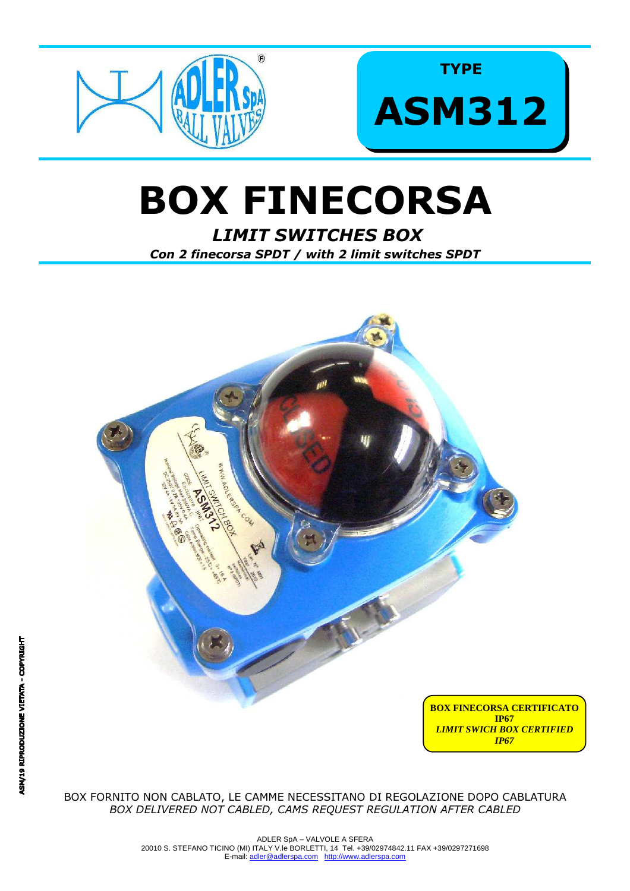

**TYPE ASM312** 

# **BOX FINECORSA**

**LIMIT SWITCHES BOX** Con 2 finecorsa SPDT / with 2 limit switches SPDT



BOX FORNITO NON CABLATO, LE CAMME NECESSITANO DI REGOLAZIONE DOPO CABLATURA BOX DELIVERED NOT CABLED, CAMS REQUEST REGULATION AFTER CABLED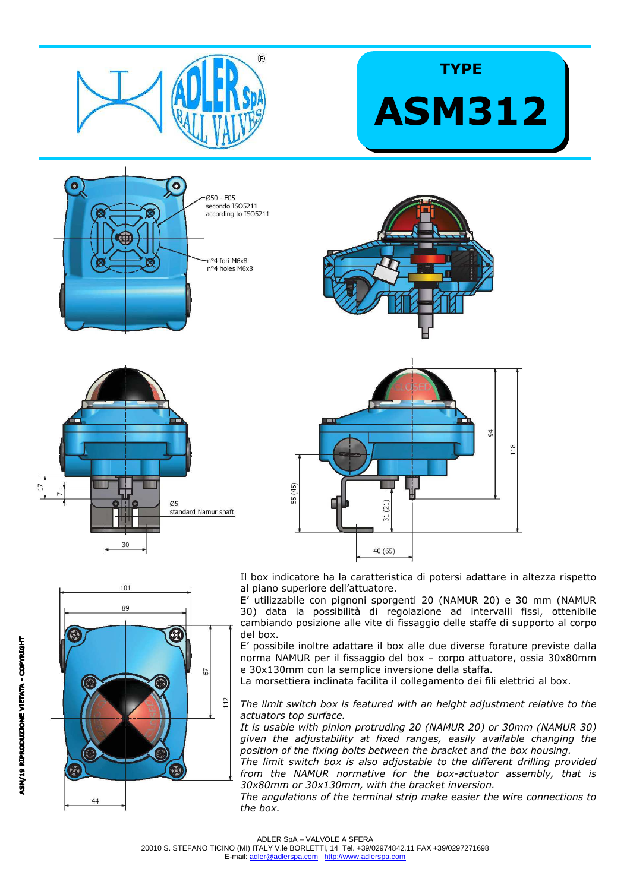

## **TYPE ASM312**







Il box indicatore ha la caratteristica di potersi adattare in altezza rispetto al piano superiore dell'attuatore.

E' utilizzabile con pignoni sporgenti 20 (NAMUR 20) e 30 mm (NAMUR 30) data la possibilità di regolazione ad intervalli fissi, ottenibile cambiando posizione alle vite di fissaggio delle staffe di supporto al corpo del box.

E' possibile inoltre adattare il box alle due diverse forature previste dalla norma NAMUR per il fissaggio del box – corpo attuatore, ossia 30x80mm e 30x130mm con la semplice inversione della staffa.

La morsettiera inclinata facilita il collegamento dei fili elettrici al box.

*The limit switch box is featured with an height adjustment relative to the actuators top surface.* 

*It is usable with pinion protruding 20 (NAMUR 20) or 30mm (NAMUR 30) given the adjustability at fixed ranges, easily available changing the position of the fixing bolts between the bracket and the box housing.* 

*The limit switch box is also adjustable to the different drilling provided from the NAMUR normative for the box-actuator assembly, that is 30x80mm or 30x130mm, with the bracket inversion.* 

*The angulations of the terminal strip make easier the wire connections to the box.* 



E-mail: adler@adlerspa.com http://www.adlerspa.com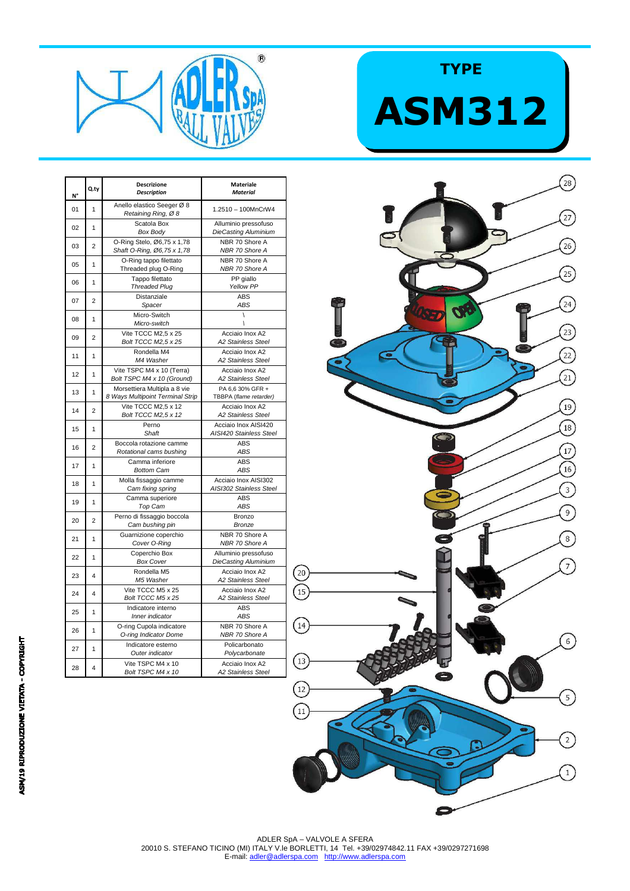

| N° | Q.ty           | <b>Descrizione</b><br><b>Description</b>                         | <b>Materiale</b><br><b>Material</b>                 |
|----|----------------|------------------------------------------------------------------|-----------------------------------------------------|
| 01 | $\mathbf{1}$   | Anello elastico Seeger Ø 8<br>Retaining Ring, Ø 8                | 1.2510 - 100MnCrW4                                  |
| 02 | 1              | Scatola Box<br><b>Box Body</b>                                   | Alluminio pressofuso<br><b>DieCasting Aluminium</b> |
| 03 | $\overline{2}$ | O-Ring Stelo, Ø6,75 x 1,78<br>Shaft O-Ring, Ø6,75 x 1,78         | NBR 70 Shore A<br>NBR 70 Shore A                    |
| 05 | 1              | O-Ring tappo filettato<br>Threaded plug O-Ring                   | NBR 70 Shore A<br>NBR 70 Shore A                    |
| 06 | 1              | Tappo filettato<br><b>Threaded Plug</b>                          | PP giallo<br>Yellow PP                              |
| 07 | $\overline{2}$ | Distanziale<br>Spacer                                            | <b>ABS</b><br>ABS                                   |
| 08 | 1              | Micro-Switch<br>Micro-switch                                     | $\overline{ }$<br>١                                 |
| 09 | $\overline{2}$ | Vite TCCC M2,5 x 25<br>Bolt TCCC M2,5 x 25                       | Acciaio Inox A2<br><b>A2 Stainless Steel</b>        |
| 11 | 1              | Rondella M4<br>M4 Washer                                         | Acciaio Inox A2<br>A2 Stainless Steel               |
| 12 | 1              | Vite TSPC M4 x 10 (Terra)<br>Bolt TSPC M4 x 10 (Ground)          | Acciaio Inox A2<br>A2 Stainless Steel               |
| 13 | 1              | Morsettiera Multipla a 8 vie<br>8 Ways Multipoint Terminal Strip | PA 6,6 30% GFR +<br>TBBPA (flame retarder)          |
| 14 | $\overline{2}$ | Vite TCCC M2,5 x 12<br>Bolt TCCC M2,5 x 12                       | Acciaio Inox A2<br><b>A2 Stainless Steel</b>        |
| 15 | 1              | Perno<br>Shaft                                                   | Acciaio Inox AISI420<br>AISI420 Stainless Steel     |
| 16 | 2              | Boccola rotazione camme<br>Rotational cams bushing               | <b>ABS</b><br>ABS                                   |
| 17 | 1              | Camma inferiore<br><b>Bottom Cam</b>                             | <b>ABS</b><br>ABS                                   |
| 18 | 1              | Molla fissaggio camme<br>Cam fixing spring                       | Acciaio Inox AISI302<br>AISI302 Stainless Steel     |
| 19 | 1              | Camma superiore<br>Top Cam                                       | ABS<br>ABS                                          |
| 20 | $\overline{2}$ | Perno di fissaggio boccola<br>Cam bushing pin                    | Bronzo<br>Bronze                                    |
| 21 | 1              | Guarnizione coperchio<br>Cover O-Ring                            | NBR 70 Shore A<br>NBR 70 Shore A                    |
| 22 | 1              | Coperchio Box<br><b>Box Cover</b>                                | Alluminio pressofuso<br><b>DieCasting Aluminium</b> |
| 23 | 4              | Rondella M5<br>M5 Washer                                         | Acciaio Inox A2<br>A2 Stainless Steel               |
| 24 | 4              | Vite TCCC M5 x 25<br>Bolt TCCC M5 x 25                           | Acciaio Inox A2<br>A2 Stainless Steel               |
| 25 | 1              | Indicatore interno<br>Inner indicator                            | <b>ABS</b><br>ABS                                   |
| 26 | 1              | O-ring Cupola indicatore<br>O-ring Indicator Dome                | NBR 70 Shore A<br>NBR 70 Shore A                    |
| 27 | 1              | Indicatore esterno<br>Outer indicator                            | Policarbonato<br>Polycarbonate                      |
| 28 | 4              | Vite TSPC M4 x 10<br>Bolt TSPC M4 x 10                           | Acciaio Inox A2<br>A2 Stainless Steel               |

## $\left( \frac{2}{3} \right)$  $\widehat{27}$  $\left( 26\right)$  $\widehat{25}$  $\left(24\right)$  $\bullet$  $\overline{23}$  $\boxed{22}$  $\left( \frac{21}{21} \right)$  $\left(19\right)$ <sup>18</sup>  $\overline{17}$  $16$  $\bigcirc$  $\circ$  $\widehat{\mathbb{C}}$  $\odot$  $\frac{15}{15}$  $\left(14\right)$  $\widehat{6}$  $\left($ 13  $\left(12\right)$  $\binom{5}{5}$  $\left(11\right)$  $\overline{c}$ T)

**TYPE**

**ASM312**

#### ADLER SpA – VALVOLE A SFERA 20010 S. STEFANO TICINO (MI) ITALY V.le BORLETTI, 14 Tel. +39/02974842.11 FAX +39/0297271698 E-mail: adler@adlerspa.com http://www.adlerspa.com